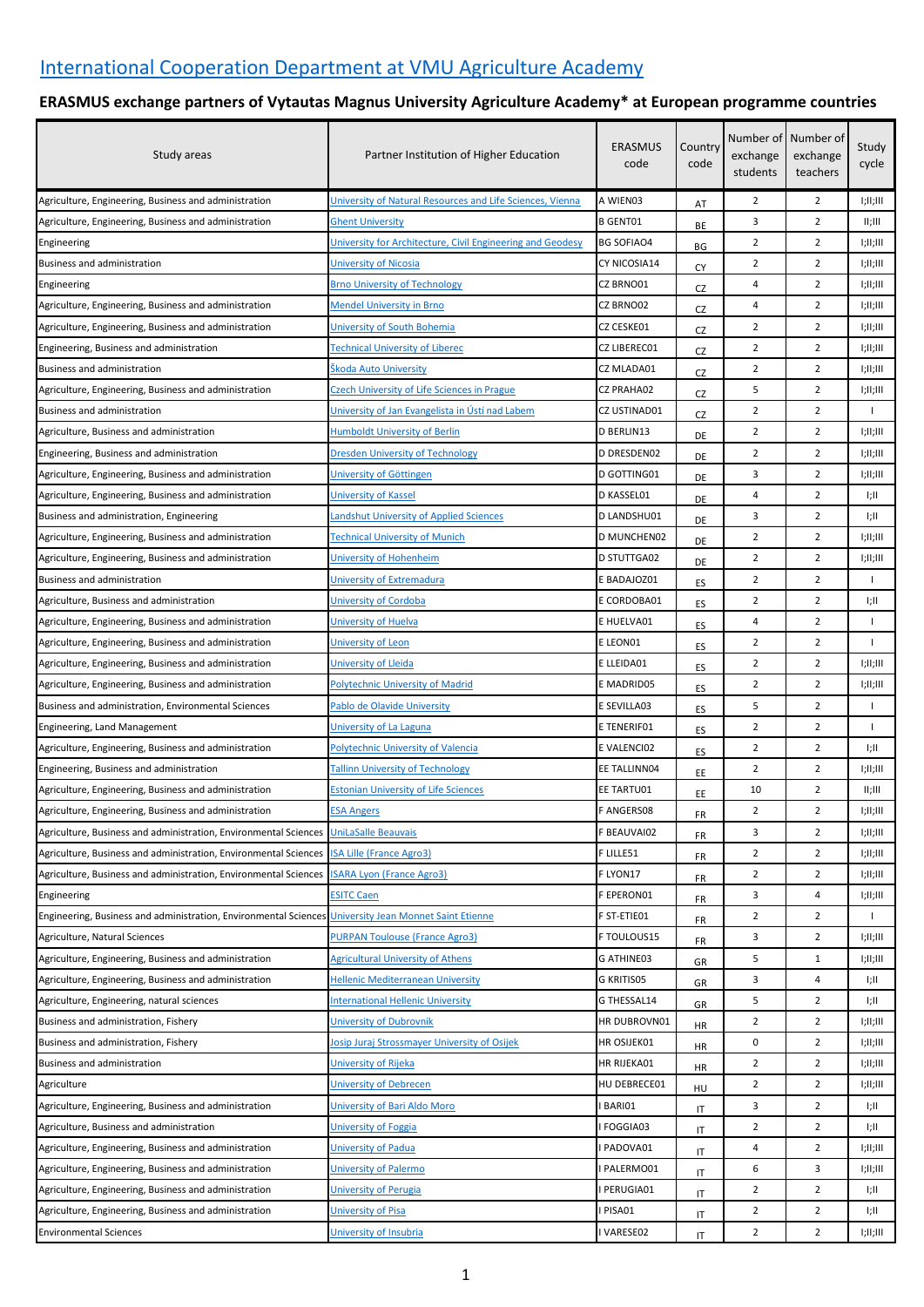## **ERASMUS exchange partners of Vytautas Magnus University Agriculture Academy\* at European programme countries**

| Study areas                                                                            | Partner Institution of Higher Education                                           | <b>ERASMUS</b><br>code    | Country<br>code | exchange<br>students | Number of Number of<br>exchange<br>teachers | Study<br>cycle |
|----------------------------------------------------------------------------------------|-----------------------------------------------------------------------------------|---------------------------|-----------------|----------------------|---------------------------------------------|----------------|
| Agriculture, Engineering, Business and administration                                  | University of Natural Resources and Life Sciences, Vienna                         | A WIEN03                  | AT              | 2                    | $\overline{2}$                              | 1;11;111       |
| Agriculture, Engineering, Business and administration                                  | <b>Ghent University</b>                                                           | <b>B GENT01</b>           | ВE              | 3                    | $\overline{2}$                              | II;III         |
| Engineering                                                                            | University for Architecture, Civil Engineering and Geodesy                        | <b>BG SOFIAO4</b>         | ВG              | 2                    | $\overline{2}$                              | T;II;III       |
| Business and administration                                                            | University of Nicosia                                                             | CY NICOSIA14              | СY              | $\overline{2}$       | $\overline{2}$                              | T;II;III       |
| Engineering                                                                            | <b>Brno University of Technology</b>                                              | CZ BRNO01                 | CZ              | 4                    | 2                                           | T;II;III       |
| Agriculture, Engineering, Business and administration                                  | <b>Mendel University in Brno</b>                                                  | CZ BRNO02                 | CZ              | 4                    | $\overline{2}$                              | T;II;III       |
| Agriculture, Engineering, Business and administration                                  | University of South Bohemia                                                       | CZ CESKE01                | CZ              | $\overline{2}$       | $\overline{2}$                              | 1;11;111       |
| Engineering, Business and administration                                               | Fechnical University of Liberec                                                   | CZ LIBEREC01              | CZ              | $\overline{2}$       | 2                                           | I;II;III       |
| Business and administration                                                            | Škoda Auto University                                                             | CZ MLADA01                | CZ              | $\overline{2}$       | $\overline{2}$                              | I;II;III       |
| Agriculture, Engineering, Business and administration                                  | <b>Czech University of Life Sciences in Prague</b>                                | CZ PRAHA02                | CZ              | 5                    | $\overline{2}$                              | I;II;III       |
| Business and administration                                                            | University of Jan Evangelista in Ústí nad Labem                                   | CZ USTINAD01              | CZ              | $\overline{2}$       | $\overline{2}$                              | $\mathbf{I}$   |
| Agriculture, Business and administration                                               | <b>Humboldt University of Berlin</b>                                              | D BERLIN13                | DE              | $\overline{2}$       | $\overline{2}$                              | I;II;III       |
| Engineering, Business and administration                                               | Dresden University of Technology                                                  | D DRESDEN02               | DE              | $\overline{2}$       | $\overline{2}$                              | T;II;III       |
| Agriculture, Engineering, Business and administration                                  | University of Göttingen                                                           | D GOTTING01               | DE              | 3                    | $\overline{2}$                              | l;II;III       |
| Agriculture, Engineering, Business and administration                                  | University of Kassel                                                              | D KASSEL01                | DE              | 4                    | $\overline{2}$                              | T;II           |
| Business and administration, Engineering                                               | Landshut University of Applied Sciences                                           | D LANDSHU01               | DE              | 3                    | $\overline{2}$                              | l;II           |
| Agriculture, Engineering, Business and administration                                  | Technical University of Munich                                                    | D MUNCHEN02               | DE              | $\overline{2}$       | $\overline{2}$                              | I;II;III       |
| Agriculture, Engineering, Business and administration                                  | University of Hohenheim                                                           | D STUTTGA02               | DE              | $\overline{2}$       | $\overline{2}$                              | l;II;III       |
| Business and administration                                                            | University of Extremadura                                                         | E BADAJOZ01               | ES              | $\overline{2}$       | $\overline{2}$                              |                |
| Agriculture, Business and administration                                               | University of Cordoba                                                             | E CORDOBA01               | ES              | $\overline{2}$       | 2                                           | l;II           |
| Agriculture, Engineering, Business and administration                                  | University of Huelva                                                              | E HUELVA01                | ES              | 4                    | $\overline{2}$                              | $\mathbf{I}$   |
| Agriculture, Engineering, Business and administration                                  | University of Leon                                                                | E LEON01                  | ES              | 2                    | $\overline{2}$                              | $\mathbf{I}$   |
| Agriculture, Engineering, Business and administration                                  | University of Lleida                                                              | E LLEIDA01                |                 | $\overline{2}$       | 2                                           | I;II;III       |
| Agriculture, Engineering, Business and administration                                  | Polytechnic University of Madrid                                                  | E MADRID05                | ES              | 2                    | 2                                           | I;II;III       |
| Business and administration, Environmental Sciences                                    | Pablo de Olavide University                                                       | E SEVILLA03               | ES              | 5                    | $\overline{2}$                              | $\overline{1}$ |
| Engineering, Land Management                                                           | University of La Laguna                                                           | E TENERIF01               | ES              | 2                    | $\overline{2}$                              | $\mathbf{I}$   |
| Agriculture, Engineering, Business and administration                                  | Polytechnic University of Valencia                                                | E VALENCIO2               | ES              | $\overline{2}$       | $\overline{2}$                              | -l;II          |
| Engineering, Business and administration                                               | <b>Tallinn University of Technology</b>                                           | EE TALLINN04              | ES              | 2                    | 2                                           | T;II;III       |
| Agriculture, Engineering, Business and administration                                  | <b>Estonian University of Life Sciences</b>                                       | EE TARTU01                | EE              | 10                   | $\overline{2}$                              | II;III         |
| Agriculture, Engineering, Business and administration                                  | <b>ESA Angers</b>                                                                 | <b>F ANGERS08</b>         | ЕE              | $\overline{2}$       | $\overline{2}$                              | I;II;III       |
| Agriculture, Business and administration, Environmental Sciences                       | <b>UniLaSalle Beauvais</b>                                                        | F BEAUVAI02               | FR              | 3                    | $\overline{2}$                              | T;II;III       |
| Agriculture, Business and administration, Environmental Sciences                       | <b>ISA Lille (France Agro3)</b>                                                   | F LILLE51                 | FR              | $\overline{2}$       | $\overline{2}$                              | T;II;III       |
| Agriculture, Business and administration, Environmental Sciences                       | <b>ISARA Lyon (France Agro3)</b>                                                  | F LYON17                  | FR              | $\overline{2}$       | $\overline{2}$                              | I;II;III       |
|                                                                                        | <b>ESITC Caen</b>                                                                 | F EPERON01                | FR              | 3                    | 4                                           | 1;11;111       |
| Engineering                                                                            |                                                                                   |                           | FR              |                      | $\overline{2}$                              | $\mathbf{I}$   |
| Engineering, Business and administration, Environmental Science                        | <b>University Jean Monnet Saint Etienne</b>                                       | F ST-ETIE01               | FR              | $\overline{2}$       |                                             |                |
| Agriculture, Natural Sciences<br>Agriculture, Engineering, Business and administration | <b>PURPAN Toulouse (France Agro3)</b><br><b>Agricultural University of Athens</b> | F TOULOUS15<br>G ATHINE03 | FR              | 3<br>5               | $\overline{2}$<br>$\mathbf{1}$              | T;II;III       |
|                                                                                        | <b>Hellenic Mediterranean University</b>                                          | G KRITIS05                | GR              | 3                    | 4                                           | T;II;III       |
| Agriculture, Engineering, Business and administration                                  |                                                                                   |                           | GR              | 5                    | $\overline{2}$                              | l;II           |
| Agriculture, Engineering, natural sciences                                             | <b>International Hellenic University</b>                                          | G THESSAL14               | GR              |                      |                                             | l;II           |
| Business and administration, Fishery                                                   | University of Dubrovnik                                                           | HR DUBROVN01              | HR              | $\overline{2}$       | $\overline{2}$                              | I;II;III       |
| Business and administration, Fishery                                                   | losip Juraj Strossmayer University of Osijek                                      | HR OSIJEK01               | HR              | 0                    | $\overline{2}$                              | T;II;III       |
| Business and administration                                                            | University of Rijeka                                                              | HR RIJEKA01               | HR              | $\overline{2}$       | 2                                           | I;II;III       |
| Agriculture                                                                            | University of Debrecen                                                            | HU DEBRECE01              | HU              | $\overline{2}$       | $\overline{2}$                              | I;II;III       |
| Agriculture, Engineering, Business and administration                                  | University of Bari Aldo Moro                                                      | <b>BARIO1</b>             | IT              | 3                    | $\overline{2}$                              | T;II           |
| Agriculture, Business and administration                                               | University of Foggia                                                              | FOGGIA03                  | IT              | $\overline{2}$       | $\overline{2}$                              | -l;II          |
| Agriculture, Engineering, Business and administration                                  | University of Padua                                                               | PADOVA01                  | IT              | 4                    | $\overline{2}$                              | I;II;III       |
| Agriculture, Engineering, Business and administration                                  | University of Palermo                                                             | PALERMO01                 | IT              | 6                    | 3                                           | T;II;III       |
| Agriculture, Engineering, Business and administration                                  | <b>University of Perugia</b>                                                      | PERUGIA01                 | IT              | $\overline{2}$       | $\overline{2}$                              | l;II           |
| Agriculture, Engineering, Business and administration                                  | University of Pisa                                                                | I PISA01                  | IT              | $\overline{2}$       | $\overline{2}$                              | -l;II          |
| <b>Environmental Sciences</b>                                                          | University of Insubria                                                            | I VARESE02                | IT              | $\overline{2}$       | $\overline{2}$                              | I;II;III       |